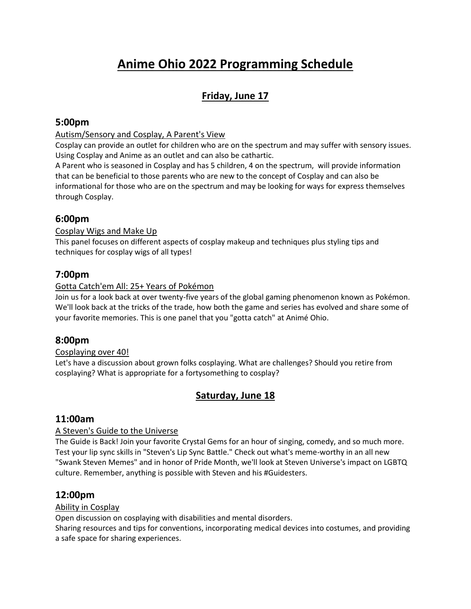# **Anime Ohio 2022 Programming Schedule**

# **Friday, June 17**

### **5:00pm**

#### Autism/Sensory and Cosplay, A Parent's View

Cosplay can provide an outlet for children who are on the spectrum and may suffer with sensory issues. Using Cosplay and Anime as an outlet and can also be cathartic.

A Parent who is seasoned in Cosplay and has 5 children, 4 on the spectrum, will provide information that can be beneficial to those parents who are new to the concept of Cosplay and can also be informational for those who are on the spectrum and may be looking for ways for express themselves through Cosplay.

### **6:00pm**

#### Cosplay Wigs and Make Up

This panel focuses on different aspects of cosplay makeup and techniques plus styling tips and techniques for cosplay wigs of all types!

# **7:00pm**

#### Gotta Catch'em All: 25+ Years of Pokémon

Join us for a look back at over twenty-five years of the global gaming phenomenon known as Pokémon. We'll look back at the tricks of the trade, how both the game and series has evolved and share some of your favorite memories. This is one panel that you "gotta catch" at Animé Ohio.

### **8:00pm**

#### Cosplaying over 40!

Let's have a discussion about grown folks cosplaying. What are challenges? Should you retire from cosplaying? What is appropriate for a fortysomething to cosplay?

### **Saturday, June 18**

### **11:00am**

#### A Steven's Guide to the Universe

The Guide is Back! Join your favorite Crystal Gems for an hour of singing, comedy, and so much more. Test your lip sync skills in "Steven's Lip Sync Battle." Check out what's meme-worthy in an all new "Swank Steven Memes" and in honor of Pride Month, we'll look at Steven Universe's impact on LGBTQ culture. Remember, anything is possible with Steven and his #Guidesters.

### **12:00pm**

#### Ability in Cosplay

Open discussion on cosplaying with disabilities and mental disorders.

Sharing resources and tips for conventions, incorporating medical devices into costumes, and providing a safe space for sharing experiences.